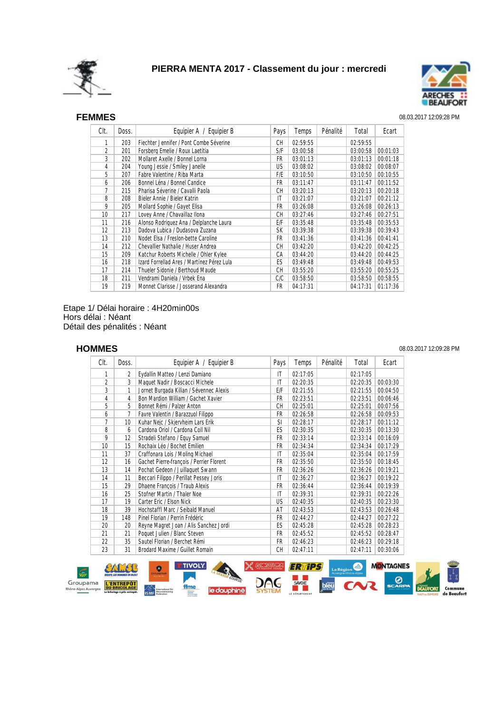



### SEF **FEMMES** 08.03.2017 12:09:28 PM

| CIt. | Doss. | Equipier A / Equipier B                    | Pays      | Temps    | Pénalité | Total    | Ecart    |
|------|-------|--------------------------------------------|-----------|----------|----------|----------|----------|
| 1    | 203   | Fiechter Jennifer / Pont Combe Séverine    | СH        | 02:59:55 |          | 02:59:55 |          |
| 2    | 201   | Forsberg Emelie / Roux Laetitia            | S/F       | 03:00:58 |          | 03:00:58 | 00:01:03 |
| 3    | 202   | Mollaret Axelle / Bonnel Lorna             | FR        | 03:01:13 |          | 03:01:13 | 00:01:18 |
| 4    | 204   | Young Jessie / Smiley Janelle              | <b>US</b> | 03:08:02 |          | 03:08:02 | 00:08:07 |
| 5    | 207   | Fabre Valentine / Riba Marta               | F/E       | 03:10:50 |          | 03:10:50 | 00:10:55 |
| 6    | 206   | Bonnel Léna / Bonnel Candice               | FR.       | 03:11:47 |          | 03:11:47 | 00:11:52 |
| 7    | 215   | Pharisa Séverine / Cavalli Paola           | CН        | 03:20:13 |          | 03:20:13 | 00:20:18 |
| 8    | 208   | Bieler Annie / Bieler Katrin               | ΙT        | 03:21:07 |          | 03:21:07 | 00:21:12 |
| 9    | 205   | Mollard Sophie / Gayet Elisa               | FR        | 03:26:08 |          | 03:26:08 | 00:26:13 |
| 10   | 217   | Lovey Anne / Chavaillaz Ilona              | СH        | 03:27:46 |          | 03:27:46 | 00:27:51 |
| 11   | 216   | Alonso Rodriguez Ana / Delplanche Laura    | E/F       | 03:35:48 |          | 03:35:48 | 00:35:53 |
| 12   | 213   | Dadova Lubica / Dudasova Zuzana            | <b>SK</b> | 03:39:38 |          | 03:39:38 | 00:39:43 |
| 13   | 210   | Nodet Elsa / Freslon-bette Caroline        | FR.       | 03:41:36 |          | 03:41:36 | 00:41:41 |
| 14   | 212   | Chevallier Nathalie / Huser Andrea         | CН        | 03:42:20 |          | 03:42:20 | 00:42:25 |
| 15   | 209   | Katchur Roberts Michelle / Ohler Kylee     | СA        | 03:44:20 |          | 03:44:20 | 00:44:25 |
| 16   | 218   | Izard Forrellad Ares / Martínez Pérez Lula | ES        | 03:49:48 |          | 03:49:48 | 00:49:53 |
| 17   | 214   | Thueler Sidonie / Berthoud Maude           | СH        | 03:55:20 |          | 03:55:20 | 00:55:25 |
| 18   | 211   | Vendrami Daniela / Vrbek Ena               | C/C       | 03:58:50 |          | 03:58:50 | 00:58:55 |
| 19   | 219   | Monnet Clarisse / Josserand Alexandra      | FR.       | 04:17:31 |          | 04:17:31 | 01:17:36 |

Etape 1/ Délai horaire : 4H20min00s Hors délai : Néant Détail des pénalités : Néant

## SEH **HOMMES** 08.03.2017 12:09:28 PM

| CIt. | Doss. | Equipier A / Equipier B                  | Pays                   | Temps    | Pénalité | Total    | Ecart    |
|------|-------|------------------------------------------|------------------------|----------|----------|----------|----------|
| 1    | 2     | Eydallin Matteo / Lenzi Damiano          | IT                     | 02:17:05 |          | 02:17:05 |          |
| 2    | 3     | Maquet Nadir / Boscacci Michele          | IT                     | 02:20:35 |          | 02:20:35 | 00:03:30 |
| 3    | 1     | Jornet Burgada Kilian / Sévennec Alexis  | E/F                    | 02:21:55 |          | 02:21:55 | 00:04:50 |
| 4    | 4     | Bon Mardion William / Gachet Xavier      | FR                     | 02:23:51 |          | 02:23:51 | 00:06:46 |
| 5    | 5     | Bonnet Rémi / Palzer Anton               | СH                     | 02:25:01 |          | 02:25:01 | 00:07:56 |
| 6    | 7     | Favre Valentin / Barazzuol Filippo       | FR                     | 02:26:58 |          | 02:26:58 | 00:09:53 |
| 7    | 10    | Kuhar Nejc / Skjervheim Lars Erik        | <b>SI</b>              | 02:28:17 |          | 02:28:17 | 00:11:12 |
| 8    | 6     | Cardona Oriol / Cardona Coll Nil         | ES                     | 02:30:35 |          | 02:30:35 | 00:13:30 |
| 9    | 12    | Stradeli Stefano / Equy Samuel           | FR                     | 02:33:14 |          | 02:33:14 | 00:16:09 |
| 10   | 15    | Rochaix Léo / Bochet Emilien             | FR                     | 02:34:34 |          | 02:34:34 | 00:17:29 |
| 11   | 37    | Craffonara Lois / Moling Michael         | IT                     | 02:35:04 |          | 02:35:04 | 00:17:59 |
| 12   | 16    | Gachet Pierre-françois / Perrier Florent | FR                     | 02:35:50 |          | 02:35:50 | 00:18:45 |
| 13   | 14    | Pochat Gedeon / Juillaquet Swann         | FR                     | 02:36:26 |          | 02:36:26 | 00:19:21 |
| 14   | 11    | Beccari Filippo / Perillat Pessey Joris  | $\mathsf{I}\mathsf{T}$ | 02:36:27 |          | 02:36:27 | 00:19:22 |
| 15   | 29    | Dhaene François / Traub Alexis           | FR                     | 02:36:44 |          | 02:36:44 | 00:19:39 |
| 16   | 25    | Stofner Martin / Thaler Noe              | IT                     | 02:39:31 |          | 02:39:31 | 00:22:26 |
| 17   | 19    | Carter Eric / Elson Nick                 | US                     | 02:40:35 |          | 02:40:35 | 00:23:30 |
| 18   | 39    | Hochstaffl Marc / Seibald Manuel         | AT                     | 02:43:53 |          | 02:43:53 | 00:26:48 |
| 19   | 148   | Pinel Florian / Perrin Frédéric          | <b>FR</b>              | 02:44:27 |          | 02:44:27 | 00:27:22 |
| 20   | 20    | Reyne Magret Joan / Alis Sanchez Jordi   | ES                     | 02:45:28 |          | 02:45:28 | 00:28:23 |
| 21   | 21    | Poquet Julien / Blanc Steven             | FR                     | 02:45:52 |          | 02:45:52 | 00:28:47 |
| 22   | 35    | Sautel Florian / Berchet Rémi            | <b>FR</b>              | 02:46:23 |          | 02:46:23 | 00:29:18 |
| 23   | 31    | Brodard Maxime / Guillet Romain          | CН                     | 02:47:11 |          | 02:47:11 | 00:30:06 |

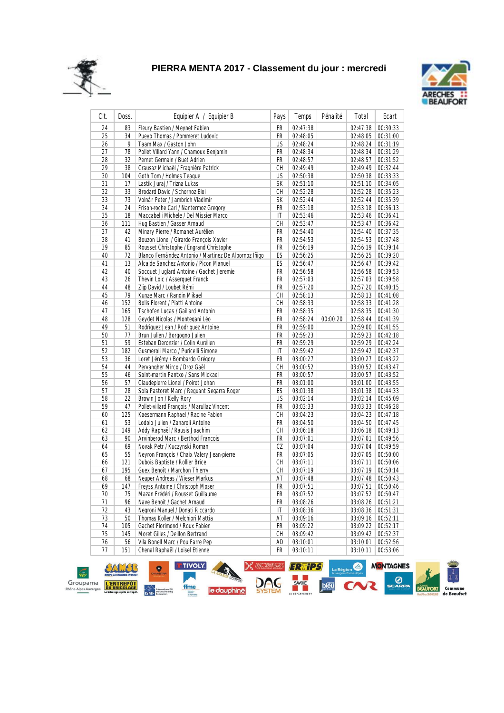



| Clt. | Doss. | Equipier A / Equipier B                               | Pays      | Temps    | Pénalité | Total    | Ecart    |
|------|-------|-------------------------------------------------------|-----------|----------|----------|----------|----------|
| 24   | 83    | Fleury Bastien / Meynet Fabien                        | <b>FR</b> | 02:47:38 |          | 02:47:38 | 00:30:33 |
| 25   | 34    | Pueyo Thomas / Pommeret Ludovic                       | FR        | 02:48:05 |          | 02:48:05 | 00:31:00 |
| 26   | 9     | Taam Max / Gaston John                                | US        | 02:48:24 |          | 02:48:24 | 00:31:19 |
| 27   | 78    | Pollet Villard Yann / Chamoux Benjamin                | FR        | 02:48:34 |          | 02:48:34 | 00:31:29 |
| 28   | 32    | Pernet Germain / Buet Adrien                          | FR        | 02:48:57 |          | 02:48:57 | 00:31:52 |
| 29   | 38    | Crausaz Michaël / Fragnière Patrick                   | CH        | 02:49:49 |          | 02:49:49 | 00:32:44 |
| 30   | 104   | Goth Tom / Holmes Teaque                              | <b>US</b> | 02:50:38 |          | 02:50:38 | 00:33:33 |
| 31   | 17    | Lastik Juraj / Trizna Lukas                           | SK        | 02:51:10 |          | 02:51:10 | 00:34:05 |
| 32   | 33    | Brodard David / Schornoz Eloi                         | CН        | 02:52:28 |          | 02:52:28 | 00:35:23 |
| 33   | 73    | Volnár Peter / Jambrich Vladimír                      | SK        | 02:52:44 |          | 02:52:44 | 00:35:39 |
| 34   | 24    | Frison-roche Carl / Nantermoz Gregory                 | FR        | 02:53:18 |          | 02:53:18 | 00:36:13 |
| 35   | 18    | Maccabelli Michele / Del Missier Marco                | IT        | 02:53:46 |          | 02:53:46 | 00:36:41 |
| 36   | 111   | Hug Bastien / Gasser Arnaud                           | CН        | 02:53:47 |          | 02:53:47 | 00:36:42 |
| 37   | 42    | Minary Pierre / Romanet Aurélien                      | FR        | 02:54:40 |          | 02:54:40 | 00:37:35 |
| 38   | 41    | Bouzon Lionel / Girardo François Xavier               | FR        | 02:54:53 |          | 02:54:53 | 00:37:48 |
| 39   | 85    | Rousset Christophe / Engrand Christophe               | FR        | 02:56:19 |          | 02:56:19 | 00:39:14 |
| 40   | 72    | Blanco Fernández Antonio / Martinez De Albornoz Iñigo | ES        | 02:56:25 |          | 02:56:25 | 00:39:20 |
| 41   | 13    | Alcalde Sanchez Antonio / Picon Manuel                | ES        | 02:56:47 |          | 02:56:47 | 00:39:42 |
| 42   | 40    | Socquet Juglard Antoine / Gachet Jeremie              | FR        | 02:56:58 |          | 02:56:58 | 00:39:53 |
| 43   | 26    | Thevin Loic / Asserquet Franck                        | FR        | 02:57:03 |          | 02:57:03 | 00:39:58 |
| 44   | 48    | Ziip David / Loubet Rémi                              | FR        | 02:57:20 |          | 02:57:20 | 00:40:15 |
| 45   | 79    | Kunze Marc / Randin Mikael                            | CН        | 02:58:13 |          | 02:58:13 | 00:41:08 |
| 46   | 152   | <b>Bolis Florent / Piatti Antoine</b>                 | CН        | 02:58:33 |          | 02:58:33 | 00:41:28 |
| 47   | 165   | Tschofen Lucas / Gaillard Antonin                     | FR        | 02:58:35 |          | 02:58:35 | 00:41:30 |
| 48   | 128   | Geydet Nicolas / Montegani Léo                        | FR        | 02:58:24 | 00:00:20 | 02:58:44 | 00:41:39 |
| 49   | 51    | Rodriguez Jean / Rodriguez Antoine                    | FR        | 02:59:00 |          | 02:59:00 | 00:41:55 |
| 50   | 77    | Brun Julien / Borgogno Julien                         | FR        | 02:59:23 |          | 02:59:23 | 00:42:18 |
| 51   | 59    | Esteban Deronzier / Colin Aurélien                    | FR        | 02:59:29 |          | 02:59:29 | 00:42:24 |
| 52   | 182   | Gusmeroli Marco / Puricelli Simone                    | IT        | 02:59:42 |          | 02:59:42 | 00:42:37 |
| 53   | 36    | Loret Jérémy / Bombardo Grégory                       | FR        | 03:00:27 |          | 03:00:27 | 00:43:22 |
| 54   | 44    | Pervangher Mirco / Droz Gaël                          | CH        | 03:00:52 |          | 03:00:52 | 00:43:47 |
| 55   | 46    | Saint-martin Pantxo / Sans Mickael                    | FR        | 03:00:57 |          | 03:00:57 | 00:43:52 |
| 56   | 57    | Claudepierre Lionel / Poirot Johan                    | FR        | 03:01:00 |          | 03:01:00 | 00:43:55 |
| 57   | 28    | Sola Pastoret Marc / Requant Segarra Roger            | ES        | 03:01:38 |          | 03:01:38 | 00:44:33 |
| 58   | 22    | Brown Jon / Kelly Rory                                | US        | 03:02:14 |          | 03:02:14 | 00:45:09 |
| 59   | 47    | Pollet-villard François / Marullaz Vincent            | FR        | 03:03:33 |          | 03:03:33 | 00:46:28 |
| 60   | 125   | Kaesermann Raphael / Racine Fabien                    | CH        | 03:04:23 |          | 03:04:23 | 00:47:18 |
| 61   | 53    | Lodolo Julien / Zanaroli Antoine                      | FR        | 03:04:50 |          | 03:04:50 | 00:47:45 |
| 62   | 149   | Addy Raphaël / Rausis Joachim                         | CH        | 03:06:18 |          | 03:06:18 | 00:49:13 |
| 63   | 90    | Arvinberod Marc / Berthod Francois                    | FR        | 03:07:01 |          | 03:07:01 | 00:49:56 |
| 64   | 69    | Novak Petr / Kuczynski Roman                          | CZ        | 03:07:04 |          | 03:07:04 | 00:49:59 |
| 65   | 55    | Neyron François / Chaix Valery Jean-pierre            | FR        | 03:07:05 |          | 03:07:05 | 00:50:00 |
| 66   | 121   | Dubois Baptiste / Rollier Brice                       | СH        | 03:07:11 |          | 03:07:11 | 00:50:06 |
| 67   | 195   | Guex Benoît / Marchon Thierry                         | CН        | 03:07:19 |          | 03:07:19 | 00:50:14 |
| 68   | 68    | Neuper Andreas / Wieser Markus                        | AT        | 03:07:48 |          | 03:07:48 | 00:50:43 |
| 69   | 147   | Freyss Antoine / Christoph Moser                      | <b>FR</b> | 03:07:51 |          | 03:07:51 | 00:50:46 |
|      | 75    | Mazan Frédéri / Rousset Guillaume                     | FR        | 03:07:52 |          | 03:07:52 | 00:50:47 |
| 70   | 96    |                                                       | FR        |          |          |          | 00:51:21 |
| 71   |       | Nave Benoit / Gachet Arnaud                           |           | 03:08:26 |          | 03:08:26 |          |
| 72   | 43    | Negroni Manuel / Donati Riccardo                      | IT        | 03:08:36 |          | 03:08:36 | 00:51:31 |
| 73   | 50    | Thomas Koller / Melchiori Mattia                      | AT        | 03:09:16 |          | 03:09:16 | 00:52:11 |
| 74   | 105   | Gachet Florimond / Roux Fabien                        | FR        | 03:09:22 |          | 03:09:22 | 00:52:17 |
| 75   | 145   | Moret Gilles / Deillon Bertrand                       | СH        | 03:09:42 |          | 03:09:42 | 00:52:37 |
| 76   | 56    | Vila Bonell Marc / Pou Farre Pep                      | AD        | 03:10:01 |          | 03:10:01 | 00:52:56 |
| 77   | 151   | Chenal Raphaël / Loisel Etienne                       | FR        | 03:10:11 |          | 03:10:11 | 00:53:06 |

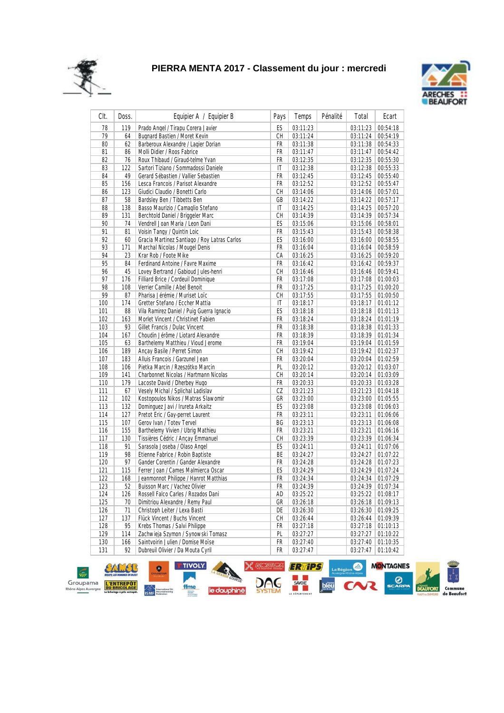



| Clt. | Doss. | Equipier A / Equipier B                      | Pays | Temps    | Pénalité | Total    | Ecart    |
|------|-------|----------------------------------------------|------|----------|----------|----------|----------|
| 78   | 119   | Prado Angel / Tirapu Corera Javier           | ES   | 03:11:23 |          | 03:11:23 | 00:54:18 |
| 79   | 64    | Bugnard Bastien / Moret Kevin                | CН   | 03:11:24 |          | 03:11:24 | 00:54:19 |
| 80   | 62    | Barberoux Alexandre / Lagier Dorian          | FR   | 03:11:38 |          | 03:11:38 | 00:54:33 |
| 81   | 86    | Molli Didier / Roos Fabrice                  | FR   | 03:11:47 |          | 03:11:47 | 00:54:42 |
| 82   | 76    | Roux Thibaud / Giraud-telme Yvan             | FR   | 03:12:35 |          | 03:12:35 | 00:55:30 |
| 83   | 122   | Sartori Tiziano / Sommadossi Daniele         | IT   | 03:12:38 |          | 03:12:38 | 00:55:33 |
| 84   | 49    | Gerard Sébastien / Vallier Sebastien         | FR   | 03:12:45 |          | 03:12:45 | 00:55:40 |
| 85   | 156   | Lesca Francois / Parisot Alexandre           | FR   | 03:12:52 |          | 03:12:52 | 00:55:47 |
| 86   | 123   | Giudici Claudio / Bonetti Carlo              | CН   | 03:14:06 |          | 03:14:06 | 00:57:01 |
| 87   | 58    | Bardsley Ben / Tibbetts Ben                  | GB   | 03:14:22 |          | 03:14:22 | 00:57:17 |
| 88   | 138   | Basso Maurizio / Camaglio Stefano            | IT   | 03:14:25 |          | 03:14:25 | 00:57:20 |
| 89   | 131   | Berchtold Daniel / Briggeler Marc            | CH   | 03:14:39 |          | 03:14:39 | 00:57:34 |
| 90   | 74    | Vendrell Joan Maria / Leon Dani              | ES   | 03:15:06 |          | 03:15:06 | 00:58:01 |
| 91   | 81    | Voisin Tangy / Quintin Loic                  | FR   | 03:15:43 |          | 03:15:43 | 00:58:38 |
| 92   | 60    | Gracia Martinez Santiago / Roy Latras Carlos | ES   | 03:16:00 |          | 03:16:00 | 00:58:55 |
| 93   | 171   | Marchal Nicolas / Mougel Denis               | FR   | 03:16:04 |          | 03:16:04 | 00:58:59 |
| 94   | 23    | Krar Rob / Foote Mike                        | СA   | 03:16:25 |          | 03:16:25 | 00:59:20 |
| 95   | 84    | Ferdinand Antoine / Favre Maxime             | FR   | 03:16:42 |          | 03:16:42 | 00:59:37 |
| 96   | 45    | Lovey Bertrand / Gabioud Jules-henri         | CН   | 03:16:46 |          | 03:16:46 | 00:59:41 |
| 97   | 176   | Filliard Brice / Cordeuil Dominique          | FR   | 03:17:08 |          | 03:17:08 | 01:00:03 |
| 98   | 108   | Verrier Camille / Abel Benoit                | FR   | 03:17:25 |          | 03:17:25 | 01:00:20 |
| 99   | 87    | Pharisa Jérémie / Muriset Loïc               | CH   | 03:17:55 |          | 03:17:55 | 01:00:50 |
| 100  | 174   | Gretter Stefano / Eccher Mattia              | IT   | 03:18:17 |          | 03:18:17 | 01:01:12 |
| 101  | 88    | Vila Ramirez Daniel / Puig Guerra Ignacio    | ES   | 03:18:18 |          | 03:18:18 | 01:01:13 |
| 102  | 163   | Morlet Vincent / Christinet Fabien           | FR   | 03:18:24 |          | 03:18:24 | 01:01:19 |
| 103  | 93    | Gillet Francis / Dulac Vincent               | FR   | 03:18:38 |          | 03:18:38 | 01:01:33 |
| 104  | 167   | Choudin Jérôme / Liotard Alexandre           | FR   | 03:18:39 |          | 03:18:39 | 01:01:34 |
| 105  | 63    | Barthelemy Matthieu / Vioud Jerome           | FR   | 03:19:04 |          | 03:19:04 | 01:01:59 |
| 106  | 189   | Ancay Basile / Perret Simon                  | CH   | 03:19:42 |          | 03:19:42 | 01:02:37 |
| 107  | 183   | Alluis Francois / Garzunel Jean              | FR   | 03:20:04 |          | 03:20:04 | 01:02:59 |
| 108  | 106   | Pietka Marcin / Rzeszótko Marcin             | PL   | 03:20:12 |          | 03:20:12 | 01:03:07 |
| 109  | 141   | Charbonnet Nicolas / Hartmann Nicolas        | СH   | 03:20:14 |          | 03:20:14 | 01:03:09 |
| 110  | 179   | Lacoste David / Dherbey Hugo                 | FR   | 03:20:33 |          | 03:20:33 | 01:03:28 |
| 111  | 67    | Vesely Michal / Splichal Ladislav            | CZ   | 03:21:23 |          | 03:21:23 | 01:04:18 |
| 112  | 102   | Kostopoulos Nikos / Matras Slawomir          | GR   | 03:23:00 |          | 03:23:00 | 01:05:55 |
| 113  | 132   | Dominguez Javi / Irureta Arkaitz             | ES   | 03:23:08 |          | 03:23:08 | 01:06:03 |
| 114  | 127   | Pretot Eric / Gay-perret Laurent             | FR   | 03:23:11 |          | 03:23:11 | 01:06:06 |
| 115  | 107   | Gerov Ivan / Totev Tervel                    | ВG   | 03:23:13 |          | 03:23:13 | 01:06:08 |
| 116  | 155   | Barthelemy Vivien / Ubrig Mathieu            | FR   | 03:23:21 |          | 03:23:21 | 01:06:16 |
| 117  | 130   | Tissières Cédric / Ançay Emmanuel            | CН   | 03:23:39 |          | 03:23:39 | 01:06:34 |
| 118  | 91    | Sarasola Joseba / Olaso Angel                | ES   | 03:24:11 |          | 03:24:11 | 01:07:06 |
| 119  | 98    | Etienne Fabrice / Robin Baptiste             | BE   | 03:24:27 |          | 03:24:27 | 01:07:22 |
| 120  | 97    | Gander Corentin / Gander Alexandre           | FR   | 03:24:28 |          | 03:24:28 | 01:07:23 |
| 121  | 115   | Ferrer Joan / Cames Malmierca Oscar          | ES   | 03:24:29 |          | 03:24:29 | 01:07:24 |
| 122  | 168   | Jeanmonnot Philippe / Hanrot Matthias        | FR   | 03:24:34 |          | 03:24:34 | 01:07:29 |
| 123  | 52    | Buisson Marc / Vachez Olivier                | FR   | 03:24:39 |          | 03:24:39 | 01:07:34 |
| 124  | 126   | Rossell Falco Carles / Rozados Dani          | AD   | 03:25:22 |          | 03:25:22 | 01:08:17 |
| 125  | 70    | Dimitriou Alexandre / Remy Paul              | GR   | 03:26:18 |          | 03:26:18 | 01:09:13 |
| 126  | 71    | Christoph Leiter / Lexa Basti                | DE   | 03:26:30 |          | 03:26:30 | 01:09:25 |
| 127  | 137   | Flück Vincent / Buchs Vincent                | CH   | 03:26:44 |          | 03:26:44 | 01:09:39 |
| 128  | 95    | Krebs Thomas / Salvi Philippe                | FR   | 03:27:18 |          | 03:27:18 | 01:10:13 |
| 129  | 114   | Zachwieja Szymon / Synowski Tomasz           | PL   | 03:27:27 |          | 03:27:27 | 01:10:22 |
| 130  | 166   | Saintvoirin Julien / Domise Moïse            | FR   | 03:27:40 |          | 03:27:40 | 01:10:35 |
| 131  | 92    | Dubreuil Olivier / Da Mouta Cyril            | FR   | 03:27:47 |          | 03:27:47 | 01:10:42 |
|      |       |                                              |      |          |          |          |          |

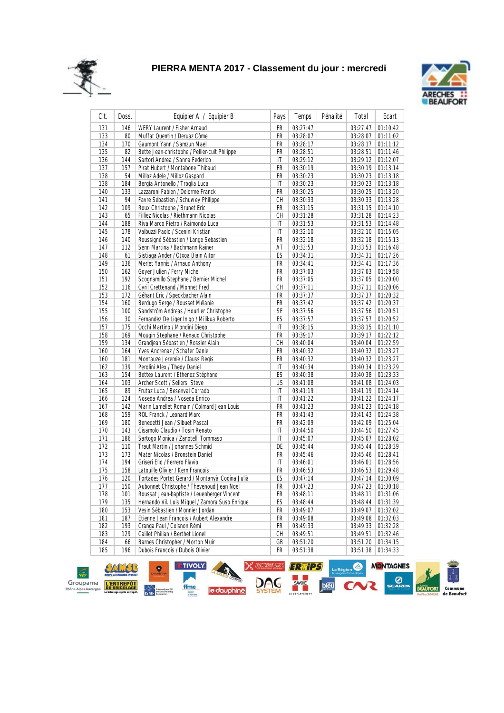



| CIt.       | Doss.      | Equipier A / Equipier B                                               | Pays      | Temps                | Pénalité | Total                | Ecart                |
|------------|------------|-----------------------------------------------------------------------|-----------|----------------------|----------|----------------------|----------------------|
| 131        | 146        | WERY Laurent / Fisher Arnaud                                          | FR        | 03:27:47             |          | 03:27:47             | 01:10:42             |
| 133        | 80         | Muffat Quentin / Deruaz Côme                                          | FR        | 03:28:07             |          | 03:28:07             | 01:11:02             |
| 134        | 170        | Gaumont Yann / Samzun Mael                                            | FR        | 03:28:17             |          | 03:28:17             | 01:11:12             |
| 135        | 82         | Bette Jean-christophe / Pellier-cuit Philippe                         | FR        | 03:28:51             |          | 03:28:51             | 01:11:46             |
| 136        | 144        | Sartori Andrea / Sanna Federico                                       | IT        | 03:29:12             |          | 03:29:12             | 01:12:07             |
| 137        | 157        | Pirat Hubert / Montabone Thibaud                                      | FR        | 03:30:19             |          | 03:30:19             | 01:13:14             |
| 138        | 54         | Milloz Adele / Milloz Gaspard                                         | FR        | 03:30:23             |          | 03:30:23             | 01:13:18             |
| 138        | 184        | Bergia Antonello / Troglia Luca                                       | IT        | 03:30:23             |          | 03:30:23             | 01:13:18             |
| 140        | 133        | Lazzaroni Fabien / Delorme Franck                                     | FR        | 03:30:25             |          | 03:30:25             | 01:13:20             |
| 141        | 94         | Favre Sébastien / Schuwey Philippe                                    | CH        | 03:30:33             |          | 03:30:33             | 01:13:28             |
| 142        | 109        | Roux Christophe / Brunet Eric                                         | FR        | 03:31:15             |          | 03:31:15             | 01:14:10             |
| 143        | 65         | Filliez Nicolas / Riethmann Nicolas                                   | CH        | 03:31:28             |          | 03:31:28             | 01:14:23             |
| 144        | 188        | Riva Marco Pietro / Raimondo Luca                                     | IT        | 03:31:53             |          | 03:31:53             | 01:14:48             |
| 145        | 178        | Valbuzzi Paolo / Scenini Kristian                                     | IT        | 03:32:10             |          | 03:32:10             | 01:15:05             |
| 146        | 140        | Roussigné Sébastien / Lange Sebastien                                 | FR        | 03:32:18             |          | 03:32:18             | 01:15:13             |
| 147        | 112        | Senn Martina / Bachmann Rainer                                        | AT        | 03:33:53             |          | 03:33:53             | 01:16:48             |
| 148        | 61         | Sistiaga Ander / Otxoa Biain Aitor                                    | ES        | 03:34:31             |          | 03:34:31             | 01:17:26             |
| 149        | 136        | Merlet Yannis / Arnaud Anthony                                        | FR        | 03:34:41             |          | 03:34:41             | 01:17:36             |
| 150        | 162        | Goyer Julien / Ferry Michel                                           | FR        | 03:37:03             |          | 03:37:03             | 01:19:58             |
| 151        | 192        | Scognamillo Stephane / Bernier Michel                                 | FR        | 03:37:05             |          | 03:37:05             | 01:20:00             |
| 152        | 116        | Cyril Crettenand / Monnet Fred                                        | CH        | 03:37:11             |          | 03:37:11             | 01:20:06             |
| 153        | 172        | Géhant Eric / Speckbacher Alain                                       | FR        | 03:37:37             |          | 03:37:37             | 01:20:32             |
| 154        | 160        | Berdugo Serge / Rousset Mélanie                                       | FR        | 03:37:42             |          | 03:37:42             | 01:20:37             |
| 155        | 100        | Sandström Andreas / Hourlier Christophe                               | <b>SE</b> | 03:37:56             |          | 03:37:56             | 01:20:51             |
| 156        | 30         | Fernandez De Liger Inigo / Milikua Roberto                            | ES        | 03:37:57             |          | 03:37:57             | 01:20:52             |
| 157        | 175        | Occhi Martino / Mondini Diego                                         | IT        | 03:38:15             |          | 03:38:15             | 01:21:10             |
| 158        | 169        | Mougin Stephane / Renaud Christophe                                   | FR        | 03:39:17             |          | 03:39:17             | 01:22:12             |
| 159        | 134        | Grandjean Sébastien / Rossier Alain                                   | СH        | 03:40:04             |          | 03:40:04             | 01:22:59             |
| 160        | 164        | Yves Ancrenaz / Schafer Daniel                                        | FR        | 03:40:32             |          | 03:40:32             | 01:23:27             |
| 160        | 181        | Montauze Jeremie / Clauss Regis                                       | FR        | 03:40:32             |          | 03:40:32             | 01:23:27             |
| 162        | 139        | Perolini Alex / Thedy Daniel                                          | IT        | 03:40:34             |          | 03:40:34             | 01:23:29             |
| 163        | 154        | Bettex Laurent / Ethenoz Stéphane                                     | ES        | 03:40:38             |          | 03:40:38             | 01:23:33             |
| 164        | 103        | Archer Scott / Sellers Steve                                          | US        | 03:41:08             |          | 03:41:08             | 01:24:03             |
|            |            |                                                                       |           | 03:41:19             |          | 03:41:19             |                      |
| 165        | 89         | Frutaz Luca / Besenval Corrado                                        | IT<br>IT  |                      |          |                      | 01:24:14             |
| 166        | 124        | Noseda Andrea / Noseda Enrico                                         | FR        | 03:41:22             |          | 03:41:22             | 01:24:17             |
| 167        | 142        | Marin Lamellet Romain / Colmard Jean Louis                            |           | 03:41:23             |          | 03:41:23             | 01:24:18             |
| 168        | 159        | ROL Franck / Leonard Marc                                             | FR        | 03:41:43             |          | 03:41:43             | 01:24:38             |
| 169        | 180        | Benedetti Jean / Sibuet Pascal                                        | FR        | 03:42:09             |          | 03:42:09             | 01:25:04             |
| 170<br>171 | 143<br>186 | Cisamolo Claudio / Tosin Renato<br>Sartogo Monica / Zanotelli Tommaso | IT<br>IT  | 03:44:50             |          | 03:44:50             | 01:27:45<br>01:28:02 |
| 172        | 110        | Traut Martin / Johannes Schmid                                        | DE        | 03:45:07             |          | 03:45:07             | 01:28:39             |
| 173        | 173        | Mater Nicolas / Bronstein Daniel                                      | FR        | 03:45:44<br>03:45:46 |          | 03:45:44<br>03:45:46 | 01:28:41             |
|            |            |                                                                       |           |                      |          |                      |                      |
| 174        | 194        | Griseri Elio / Ferrero Flavio<br>Latouille Olivier / Kern Francois    | IT<br>FR  | 03:46:01             |          | 03:46:01             | 01:28:56<br>01:29:48 |
| 175<br>176 | 158<br>120 |                                                                       | ES        | 03:46:53             |          | 03:46:53             |                      |
|            |            | Tortades Portet Gerard / Montanyà Codina Julià                        |           | 03:47:14             |          | 03:47:14             | 01:30:09             |
| 177        | 150        | Aubonnet Christophe / Thevenoud Jean Noel                             | FR        | 03:47:23             |          | 03:47:23             | 01:30:18             |
| 178        | 101        | Roussat Jean-baptiste / Leuenberger Vincent                           | FR        | 03:48:11             |          | 03:48:11             | 01:31:06             |
| 179        | 135        | Hernando Vil. Luis Miquel / Zamora Suso Enrique                       | ES        | 03:48:44             |          | 03:48:44             | 01:31:39             |
| 180        | 153        | Vesin Sébastien / Monnier Jordan                                      | FR        | 03:49:07             |          | 03:49:07             | 01:32:02             |
| 181        | 187        | Etienne Jean François / Aubert Alexandre                              | FR        | 03:49:08             |          | 03:49:08             | 01:32:03             |
| 182        | 193        | Cranga Paul / Coisnon Rémi                                            | FR        | 03:49:33             |          | 03:49:33             | 01:32:28             |
| 183        | 129        | Caillet Philian / Berthet Lionel                                      | СH        | 03:49:51             |          | 03:49:51             | 01:32:46             |
| 184        | 66         | Barnes Christopher / Morton Muir                                      | GB        | 03:51:20             |          | 03:51:20             | 01:34:15             |
| 185        | 196        | Dubois Francois / Dubois Olivier                                      | FR        | 03:51:38             |          | 03:51:38             | 01:34:33             |